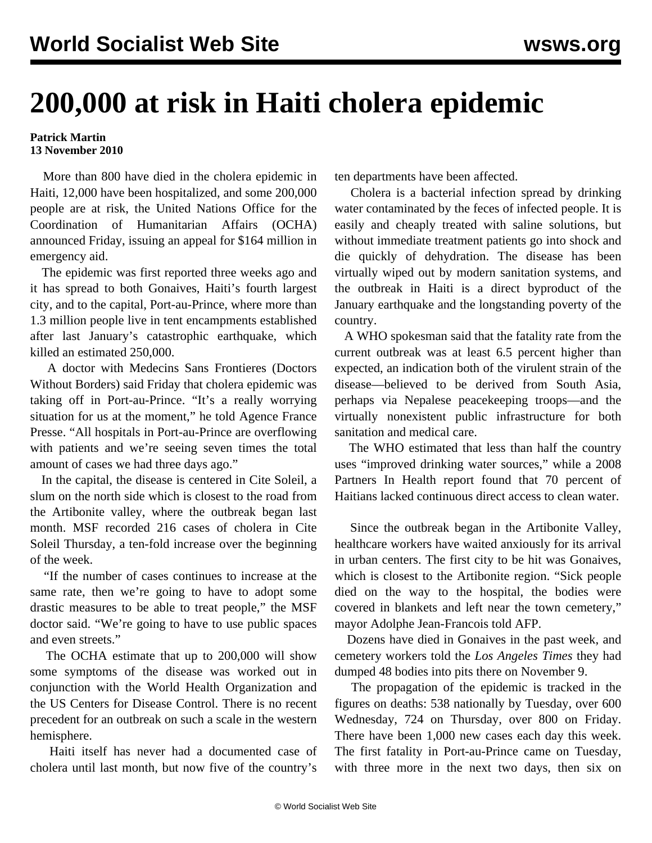## **200,000 at risk in Haiti cholera epidemic**

## **Patrick Martin 13 November 2010**

 More than 800 have died in the cholera epidemic in Haiti, 12,000 have been hospitalized, and some 200,000 people are at risk, the United Nations Office for the Coordination of Humanitarian Affairs (OCHA) announced Friday, issuing an appeal for \$164 million in emergency aid.

 The epidemic was first reported three weeks ago and it has spread to both Gonaives, Haiti's fourth largest city, and to the capital, Port-au-Prince, where more than 1.3 million people live in tent encampments established after last January's catastrophic earthquake, which killed an estimated 250,000.

 A doctor with Medecins Sans Frontieres (Doctors Without Borders) said Friday that cholera epidemic was taking off in Port-au-Prince. "It's a really worrying situation for us at the moment," he told Agence France Presse. "All hospitals in Port-au-Prince are overflowing with patients and we're seeing seven times the total amount of cases we had three days ago."

 In the capital, the disease is centered in Cite Soleil, a slum on the north side which is closest to the road from the Artibonite valley, where the outbreak began last month. MSF recorded 216 cases of cholera in Cite Soleil Thursday, a ten-fold increase over the beginning of the week.

 "If the number of cases continues to increase at the same rate, then we're going to have to adopt some drastic measures to be able to treat people," the MSF doctor said. "We're going to have to use public spaces and even streets."

 The OCHA estimate that up to 200,000 will show some symptoms of the disease was worked out in conjunction with the World Health Organization and the US Centers for Disease Control. There is no recent precedent for an outbreak on such a scale in the western hemisphere.

 Haiti itself has never had a documented case of cholera until last month, but now five of the country's

ten departments have been affected.

 Cholera is a bacterial infection spread by drinking water contaminated by the feces of infected people. It is easily and cheaply treated with saline solutions, but without immediate treatment patients go into shock and die quickly of dehydration. The disease has been virtually wiped out by modern sanitation systems, and the outbreak in Haiti is a direct byproduct of the January earthquake and the longstanding poverty of the country.

 A WHO spokesman said that the fatality rate from the current outbreak was at least 6.5 percent higher than expected, an indication both of the virulent strain of the disease—believed to be derived from South Asia, perhaps via Nepalese peacekeeping troops—and the virtually nonexistent public infrastructure for both sanitation and medical care.

 The WHO estimated that less than half the country uses "improved drinking water sources," while a 2008 Partners In Health report found that 70 percent of Haitians lacked continuous direct access to clean water.

 Since the outbreak began in the Artibonite Valley, healthcare workers have waited anxiously for its arrival in urban centers. The first city to be hit was Gonaives, which is closest to the Artibonite region. "Sick people died on the way to the hospital, the bodies were covered in blankets and left near the town cemetery," mayor Adolphe Jean-Francois told AFP.

 Dozens have died in Gonaives in the past week, and cemetery workers told the *Los Angeles Times* they had dumped 48 bodies into pits there on November 9.

 The propagation of the epidemic is tracked in the figures on deaths: 538 nationally by Tuesday, over 600 Wednesday, 724 on Thursday, over 800 on Friday. There have been 1,000 new cases each day this week. The first fatality in Port-au-Prince came on Tuesday, with three more in the next two days, then six on